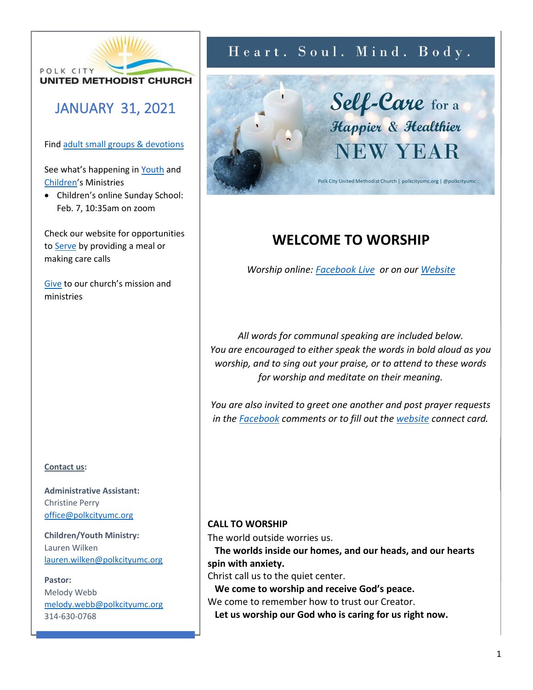

## JANUARY 31, 2021

### Fin[d adult small groups & devotions](http://www.polkcityumc.org/grow)

See what's happening in [Youth](http://www.polkcityumc.org/youth) and [Children](http://www.polkcityumc.org/children)'s Ministries

• Children's online Sunday School: Feb. 7, 10:35am on zoom

Check our website for opportunities to [Serve](http://www.polkcityumc.org/serve) by providing a meal or making care calls

[Give](http://www.polkcityumc.org/give) to our church's mission and ministries

**Contact us:**

**Administrative Assistant:**  Christine Perry [office@polkcityumc.org](mailto:office@polkcityumc.org)

**Children/Youth Ministry:**  Lauren Wilken [lauren.wilken@polkcityumc.org](mailto:lauren.wilken@polkcityumc.org)

**Pastor:** Melody Webb [melody.webb@polkcityumc.org](mailto:melody.webb@polkcityumc.org) 314-630-0768

# Heart. Soul. Mind. Body.

Self-Care for a Happier & Healthier **NEW YEAR** 

Polk City United Methodist Church | polkcityumc.org | @polkcityumc

## **WELCOME TO WORSHIP**

*Worship online: [Facebook Live](http://www.facebook.com/polkcityumc) or on our [Website](http://www.polkcityumc.org/online-worship)*

*All words for communal speaking are included below. You are encouraged to either speak the words in bold aloud as you worship, and to sing out your praise, or to attend to these words for worship and meditate on their meaning.* 

*You are also invited to greet one another and post prayer requests in the [Facebook](https://www.facebook.com/polkcityumc/) comments or to fill out the [website](https://www.polkcityumc.org/online-worship) connect card.*

### **CALL TO WORSHIP**

The world outside worries us.

**The worlds inside our homes, and our heads, and our hearts spin with anxiety.**

Christ call us to the quiet center.

**We come to worship and receive God's peace.**

We come to remember how to trust our Creator.

**Let us worship our God who is caring for us right now.**